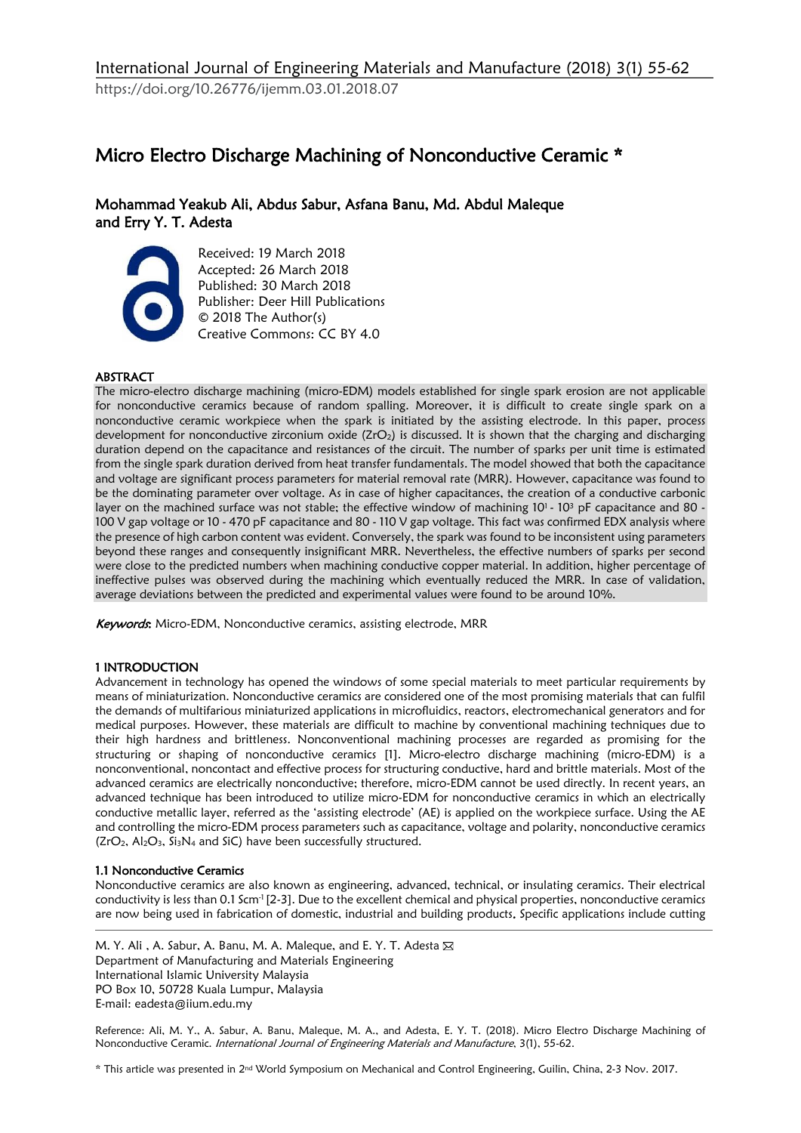# Micro Electro Discharge Machining of Nonconductive Ceramic \*

Mohammad Yeakub Ali, Abdus Sabur, Asfana Banu, Md. Abdul Maleque and Erry Y. T. Adesta



Received: 19 March 2018 Accepted: 26 March 2018 Published: 30 March 2018 Publisher: Deer Hill Publications © 2018 The Author(s) Creative Commons: CC BY 4.0

# ABSTRACT

The micro-electro discharge machining (micro-EDM) models established for single spark erosion are not applicable for nonconductive ceramics because of random spalling. Moreover, it is difficult to create single spark on a nonconductive ceramic workpiece when the spark is initiated by the assisting electrode. In this paper, process development for nonconductive zirconium oxide (ZrO<sub>2</sub>) is discussed. It is shown that the charging and discharging duration depend on the capacitance and resistances of the circuit. The number of sparks per unit time is estimated from the single spark duration derived from heat transfer fundamentals. The model showed that both the capacitance and voltage are significant process parameters for material removal rate (MRR). However, capacitance was found to be the dominating parameter over voltage. As in case of higher capacitances, the creation of a conductive carbonic layer on the machined surface was not stable; the effective window of machining 10<sup>1</sup> - 10<sup>3</sup> pF capacitance and 80 -100 V gap voltage or 10 - 470 pF capacitance and 80 - 110 V gap voltage. This fact was confirmed EDX analysis where the presence of high carbon content was evident. Conversely, the spark was found to be inconsistent using parameters beyond these ranges and consequently insignificant MRR. Nevertheless, the effective numbers of sparks per second were close to the predicted numbers when machining conductive copper material. In addition, higher percentage of ineffective pulses was observed during the machining which eventually reduced the MRR. In case of validation, average deviations between the predicted and experimental values were found to be around 10%.

Keywords: Micro-EDM, Nonconductive ceramics, assisting electrode, MRR

# 1 INTRODUCTION

Advancement in technology has opened the windows of some special materials to meet particular requirements by means of miniaturization. Nonconductive ceramics are considered one of the most promising materials that can fulfil the demands of multifarious miniaturized applications in microfluidics, reactors, electromechanical generators and for medical purposes. However, these materials are difficult to machine by conventional machining techniques due to their high hardness and brittleness. Nonconventional machining processes are regarded as promising for the structuring or shaping of nonconductive ceramics [1]. Micro-electro discharge machining (micro-EDM) is a nonconventional, noncontact and effective process for structuring conductive, hard and brittle materials. Most of the advanced ceramics are electrically nonconductive; therefore, micro-EDM cannot be used directly. In recent years, an advanced technique has been introduced to utilize micro-EDM for nonconductive ceramics in which an electrically conductive metallic layer, referred as the 'assisting electrode' (AE) is applied on the workpiece surface. Using the AE and controlling the micro-EDM process parameters such as capacitance, voltage and polarity, nonconductive ceramics  $(ZrO<sub>2</sub>, Al<sub>2</sub>O<sub>3</sub>, Si<sub>3</sub>N<sub>4</sub>$  and SiC) have been successfully structured.

# 1.1 Nonconductive Ceramics

Nonconductive ceramics are also known as engineering, advanced, technical, or insulating ceramics. Their electrical conductivity is less than 0.1 Scm<sup>-1</sup> [2-3]. Due to the excellent chemical and physical properties, nonconductive ceramics are now being used in fabrication of domestic, industrial and building products. Specific applications include cutting

M. Y. Ali, A. Sabur, A. Banu, M. A. Maleque, and E. Y. T. Adesta ⊠ Department of Manufacturing and Materials Engineering International Islamic University Malaysia PO Box 10, 50728 Kuala Lumpur, Malaysia E-mail: eadesta@iium.edu.my

Reference: Ali, M. Y., A. Sabur, A. Banu, Maleque, M. A., and Adesta, E. Y. T. (2018). Micro Electro Discharge Machining of Nonconductive Ceramic. International Journal of Engineering Materials and Manufacture, 3(1), 55-62.

\* This article was presented in 2nd World Symposium on Mechanical and Control Engineering, Guilin, China, 2-3 Nov. 2017.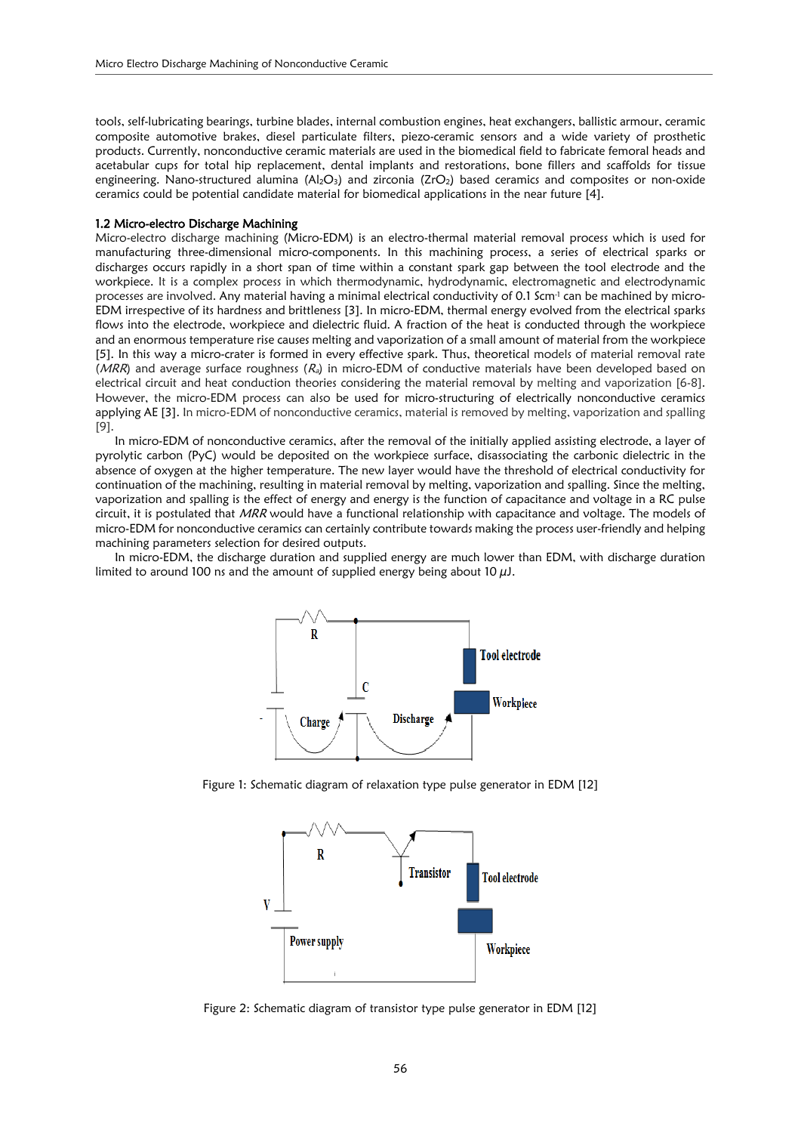tools, self-lubricating bearings, turbine blades, internal combustion engines, heat exchangers, ballistic armour, ceramic composite automotive brakes, diesel particulate filters, piezo-ceramic sensors and a wide variety of prosthetic products. Currently, nonconductive ceramic materials are used in the biomedical field to fabricate femoral heads and acetabular cups for total hip replacement, dental implants and restorations, bone fillers and scaffolds for tissue engineering. Nano-structured alumina  $(A_1 \Omega_3)$  and zirconia ( $ZrO_2$ ) based ceramics and composites or non-oxide ceramics could be potential candidate material for biomedical applications in the near future [4].

#### 1.2 Micro-electro Discharge Machining

Micro-electro discharge machining (Micro-EDM) is an electro-thermal material removal process which is used for manufacturing three-dimensional micro-components. In this machining process, a series of electrical sparks or discharges occurs rapidly in a short span of time within a constant spark gap between the tool electrode and the workpiece. It is a complex process in which thermodynamic, hydrodynamic, electromagnetic and electrodynamic processes are involved. Any material having a minimal electrical conductivity of 0.1 Scm<sup>-1</sup> can be machined by micro-EDM irrespective of its hardness and brittleness [3]. In micro-EDM, thermal energy evolved from the electrical sparks flows into the electrode, workpiece and dielectric fluid. A fraction of the heat is conducted through the workpiece and an enormous temperature rise causes melting and vaporization of a small amount of material from the workpiece [5]. In this way a micro-crater is formed in every effective spark. Thus, theoretical models of material removal rate (MRR) and average surface roughness ( $R_a$ ) in micro-EDM of conductive materials have been developed based on electrical circuit and heat conduction theories considering the material removal by melting and vaporization [6-8]. However, the micro-EDM process can also be used for micro-structuring of electrically nonconductive ceramics applying AE [3]. In micro-EDM of nonconductive ceramics, material is removed by melting, vaporization and spalling [9].

In micro-EDM of nonconductive ceramics, after the removal of the initially applied assisting electrode, a layer of pyrolytic carbon (PyC) would be deposited on the workpiece surface, disassociating the carbonic dielectric in the absence of oxygen at the higher temperature. The new layer would have the threshold of electrical conductivity for continuation of the machining, resulting in material removal by melting, vaporization and spalling. Since the melting, vaporization and spalling is the effect of energy and energy is the function of capacitance and voltage in a RC pulse circuit, it is postulated that MRR would have a functional relationship with capacitance and voltage. The models of micro-EDM for nonconductive ceramics can certainly contribute towards making the process user-friendly and helping machining parameters selection for desired outputs.

In micro-EDM, the discharge duration and supplied energy are much lower than EDM, with discharge duration limited to around 100 ns and the amount of supplied energy being about 10  $\mu$ J.



Figure 1: Schematic diagram of relaxation type pulse generator in EDM [12]



Figure 2: Schematic diagram of transistor type pulse generator in EDM [12]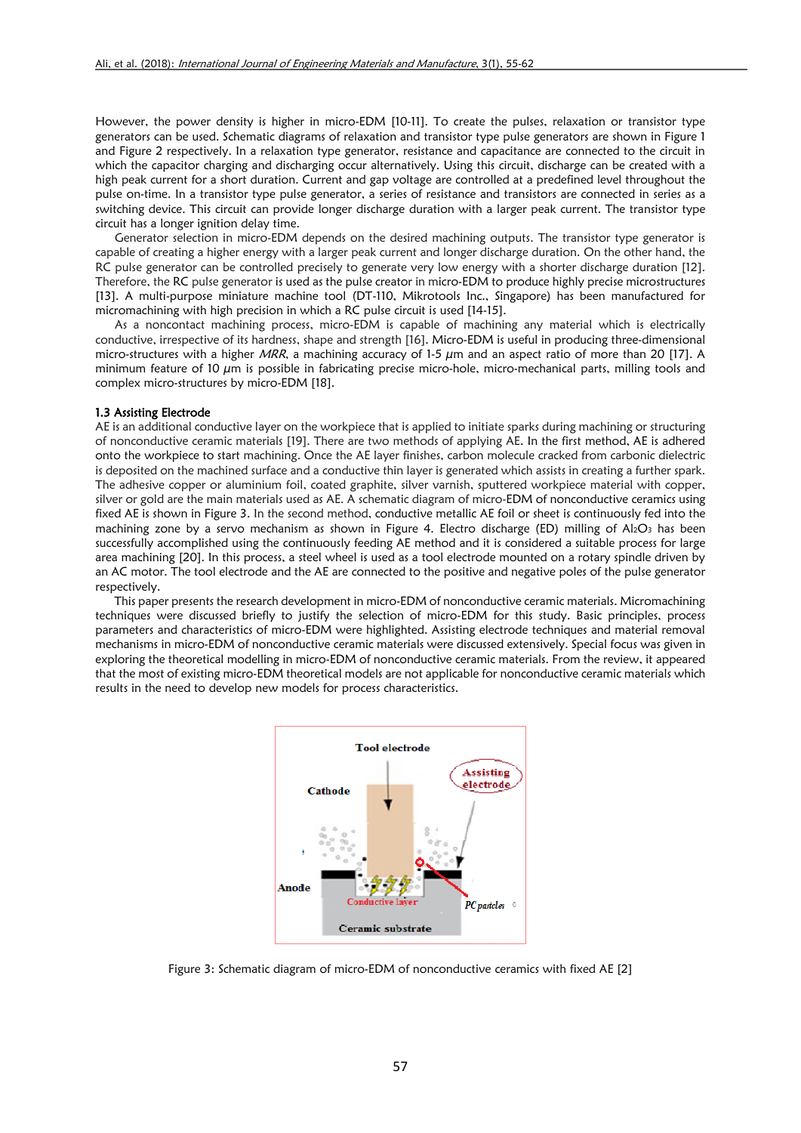However, the power density is higher in micro-EDM [10-11]. To create the pulses, relaxation or transistor type generators can be used. Schematic diagrams of relaxation and transistor type pulse generators are shown in Figure 1 and Figure 2 respectively. In a relaxation type generator, resistance and capacitance are connected to the circuit in which the capacitor charging and discharging occur alternatively. Using this circuit, discharge can be created with a high peak current for a short duration. Current and gap voltage are controlled at a predefined level throughout the pulse on-time. In a transistor type pulse generator, a series of resistance and transistors are connected in series as a switching device. This circuit can provide longer discharge duration with a larger peak current. The transistor type circuit has a longer ignition delay time.

Generator selection in micro-EDM depends on the desired machining outputs. The transistor type generator is capable of creating a higher energy with a larger peak current and longer discharge duration. On the other hand, the RC pulse generator can be controlled precisely to generate very low energy with a shorter discharge duration [12]. Therefore, the RC pulse generator is used as the pulse creator in micro-EDM to produce highly precise microstructures [13]. A multi-purpose miniature machine tool (DT-110, Mikrotools Inc., Singapore) has been manufactured for micromachining with high precision in which a RC pulse circuit is used [14-15].

As a noncontact machining process, micro-EDM is capable of machining any material which is electrically conductive, irrespective of its hardness, shape and strength [16]. Micro-EDM is useful in producing three-dimensional micro-structures with a higher MRR, a machining accuracy of 1-5  $\mu$ m and an aspect ratio of more than 20 [17]. A minimum feature of 10  $\mu$ m is possible in fabricating precise micro-hole, micro-mechanical parts, milling tools and complex micro-structures by micro-EDM [18].

#### 1.3 Assisting Electrode

AE is an additional conductive layer on the workpiece that is applied to initiate sparks during machining or structuring of nonconductive ceramic materials [19]. There are two methods of applying AE. In the first method, AE is adhered onto the workpiece to start machining. Once the AE layer finishes, carbon molecule cracked from carbonic dielectric is deposited on the machined surface and a conductive thin layer is generated which assists in creating a further spark. The adhesive copper or aluminium foil, coated graphite, silver varnish, sputtered workpiece material with copper, silver or gold are the main materials used as AE. A schematic diagram of micro-EDM of nonconductive ceramics using fixed AE is shown in Figure 3. In the second method, conductive metallic AE foil or sheet is continuously fed into the machining zone by a servo mechanism as shown in Figure 4. Electro discharge (ED) milling of Al<sub>2</sub>O<sub>3</sub> has been successfully accomplished using the continuously feeding AE method and it is considered a suitable process for large area machining [20]. In this process, a steel wheel is used as a tool electrode mounted on a rotary spindle driven by an AC motor. The tool electrode and the AE are connected to the positive and negative poles of the pulse generator respectively.

This paper presents the research development in micro-EDM of nonconductive ceramic materials. Micromachining techniques were discussed briefly to justify the selection of micro-EDM for this study. Basic principles, process parameters and characteristics of micro-EDM were highlighted. Assisting electrode techniques and material removal mechanisms in micro-EDM of nonconductive ceramic materials were discussed extensively. Special focus was given in exploring the theoretical modelling in micro-EDM of nonconductive ceramic materials. From the review, it appeared that the most of existing micro-EDM theoretical models are not applicable for nonconductive ceramic materials which results in the need to develop new models for process characteristics.



Figure 3: Schematic diagram of micro-EDM of nonconductive ceramics with fixed AE [2]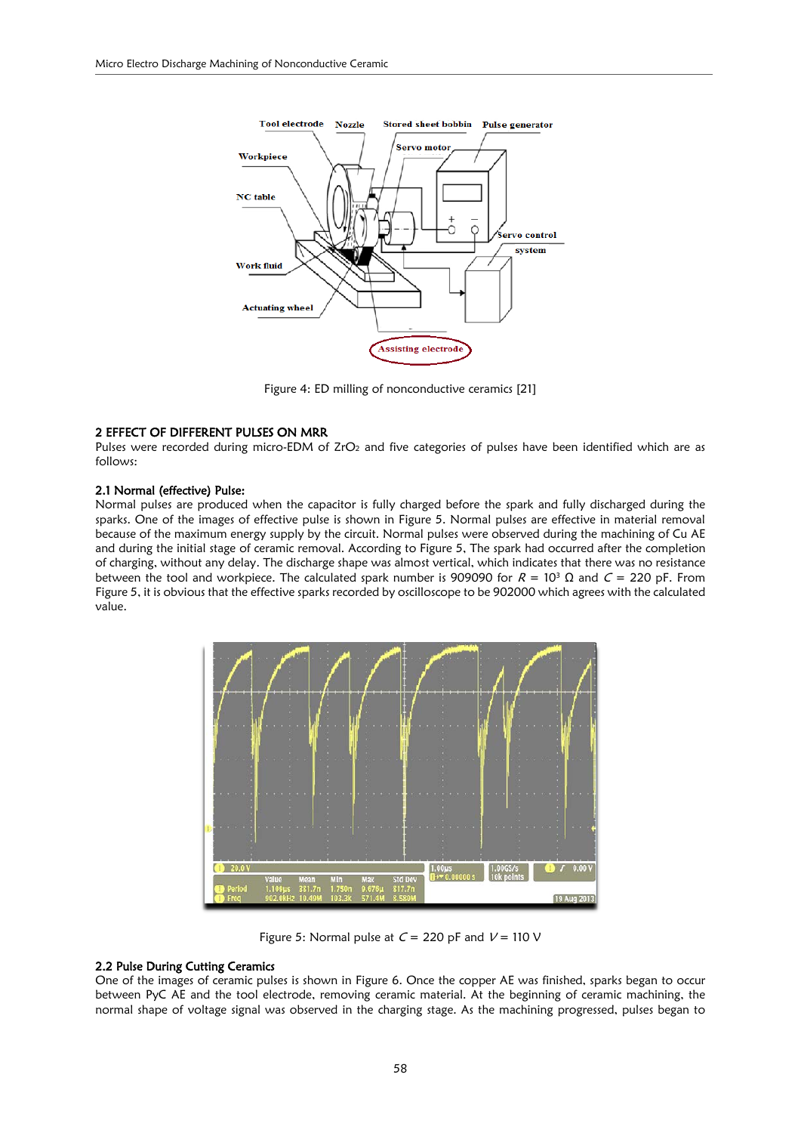

Figure 4: ED milling of nonconductive ceramics [21]

#### 2 EFFECT OF DIFFERENT PULSES ON MRR

Pulses were recorded during micro-EDM of ZrO<sub>2</sub> and five categories of pulses have been identified which are as follows:

#### 2.1 Normal (effective) Pulse:

Normal pulses are produced when the capacitor is fully charged before the spark and fully discharged during the sparks. One of the images of effective pulse is shown in Figure 5. Normal pulses are effective in material removal because of the maximum energy supply by the circuit. Normal pulses were observed during the machining of Cu AE and during the initial stage of ceramic removal. According to Figure 5, The spark had occurred after the completion of charging, without any delay. The discharge shape was almost vertical, which indicates that there was no resistance between the tool and workpiece. The calculated spark number is 909090 for  $R = 10^3 \Omega$  and  $C = 220$  pF. From Figure 5, it is obvious that the effective sparks recorded by oscilloscope to be 902000 which agrees with the calculated value.



Figure 5: Normal pulse at  $C = 220$  pF and  $V = 110$  V

# 2.2 Pulse During Cutting Ceramics

One of the images of ceramic pulses is shown in Figure 6. Once the copper AE was finished, sparks began to occur between PyC AE and the tool electrode, removing ceramic material. At the beginning of ceramic machining, the normal shape of voltage signal was observed in the charging stage. As the machining progressed, pulses began to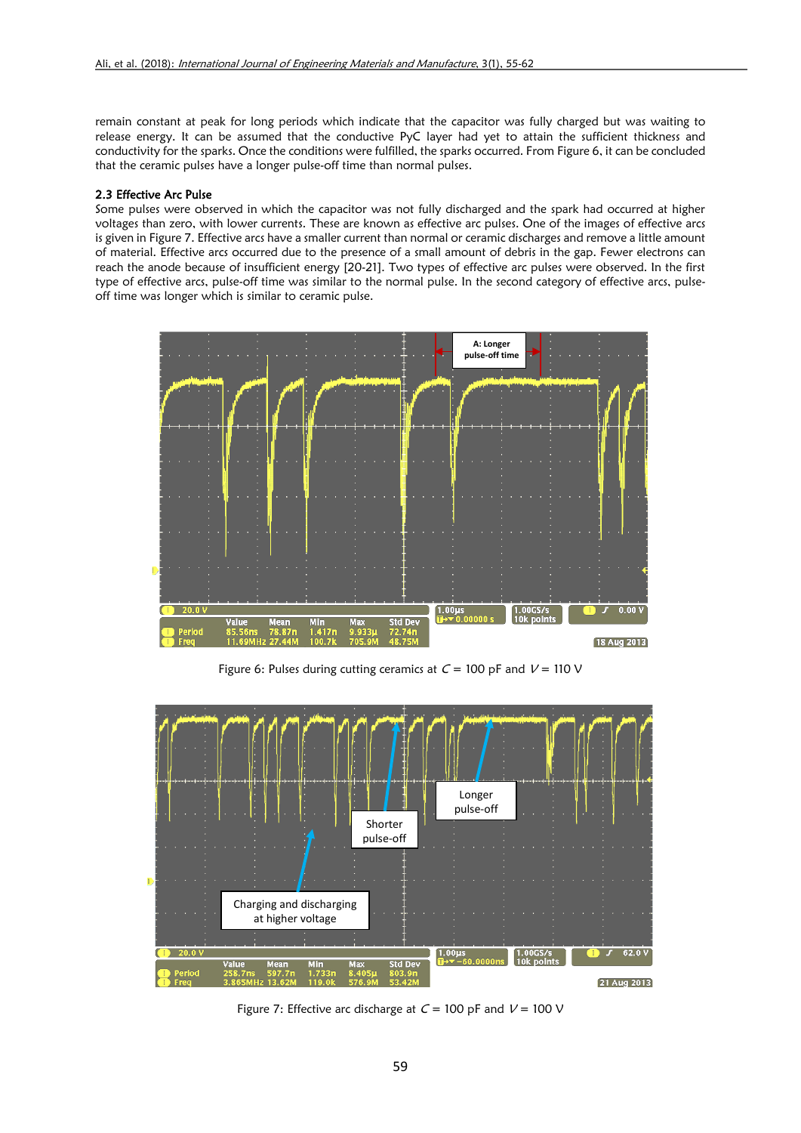remain constant at peak for long periods which indicate that the capacitor was fully charged but was waiting to release energy. It can be assumed that the conductive PyC layer had yet to attain the sufficient thickness and conductivity for the sparks. Once the conditions were fulfilled, the sparks occurred. From Figure 6, it can be concluded that the ceramic pulses have a longer pulse-off time than normal pulses.

## 2.3 Effective Arc Pulse

Some pulses were observed in which the capacitor was not fully discharged and the spark had occurred at higher voltages than zero, with lower currents. These are known as effective arc pulses. One of the images of effective arcs is given in Figure 7. Effective arcs have a smaller current than normal or ceramic discharges and remove a little amount of material. Effective arcs occurred due to the presence of a small amount of debris in the gap. Fewer electrons can reach the anode because of insufficient energy [20-21]. Two types of effective arc pulses were observed. In the first type of effective arcs, pulse-off time was similar to the normal pulse. In the second category of effective arcs, pulseoff time was longer which is similar to ceramic pulse.



Figure 6: Pulses during cutting ceramics at  $C = 100$  pF and  $V = 110$  V



Figure 7: Effective arc discharge at  $C = 100$  pF and  $V = 100$  V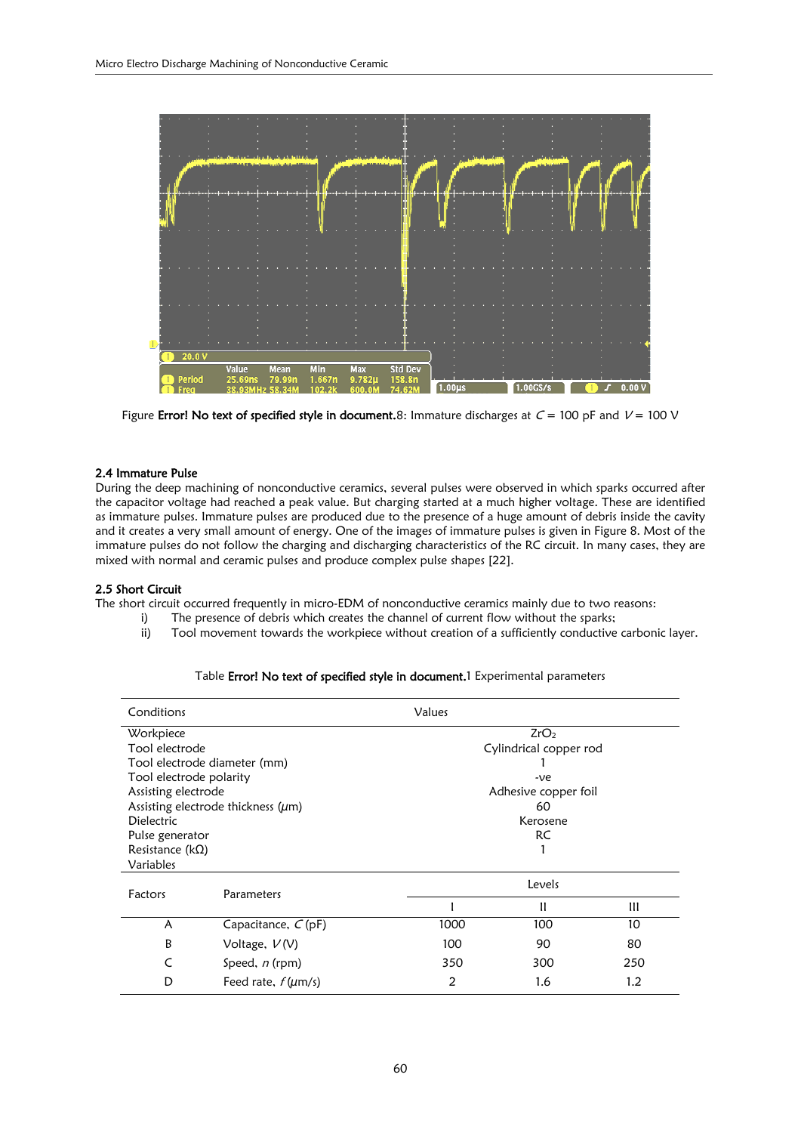

Figure Error! No text of specified style in document.8: Immature discharges at  $C = 100$  pF and  $V = 100$  V

## 2.4 Immature Pulse

During the deep machining of nonconductive ceramics, several pulses were observed in which sparks occurred after the capacitor voltage had reached a peak value. But charging started at a much higher voltage. These are identified as immature pulses. Immature pulses are produced due to the presence of a huge amount of debris inside the cavity and it creates a very small amount of energy. One of the images of immature pulses is given in Figure 8. Most of the immature pulses do not follow the charging and discharging characteristics of the RC circuit. In many cases, they are mixed with normal and ceramic pulses and produce complex pulse shapes [22].

## 2.5 Short Circuit

The short circuit occurred frequently in micro-EDM of nonconductive ceramics mainly due to two reasons:

- i) The presence of debris which creates the channel of current flow without the sparks;
- ii) Tool movement towards the workpiece without creation of a sufficiently conductive carbonic layer.

|  |  |  | Table Error! No text of specified style in document.1 Experimental parameters |  |  |
|--|--|--|-------------------------------------------------------------------------------|--|--|
|--|--|--|-------------------------------------------------------------------------------|--|--|

| Conditions                   |                                         | Values |                        |     |  |  |
|------------------------------|-----------------------------------------|--------|------------------------|-----|--|--|
| Workpiece                    |                                         |        | ZrO <sub>2</sub>       |     |  |  |
| Tool electrode               |                                         |        | Cylindrical copper rod |     |  |  |
| Tool electrode diameter (mm) |                                         |        |                        |     |  |  |
| Tool electrode polarity      |                                         |        | $-ve$                  |     |  |  |
| Assisting electrode          |                                         |        | Adhesive copper foil   |     |  |  |
|                              | Assisting electrode thickness $(\mu m)$ |        | 60                     |     |  |  |
| <b>Dielectric</b>            |                                         |        | Kerosene               |     |  |  |
| Pulse generator              |                                         |        | RC                     |     |  |  |
| Resistance ( $k\Omega$ )     |                                         |        |                        |     |  |  |
| Variables                    |                                         |        |                        |     |  |  |
| Factors                      | Parameters                              |        | Levels                 |     |  |  |
|                              |                                         |        | H                      | Ш   |  |  |
| A                            | Capacitance, $C$ (pF)                   | 1000   | 100                    | 10  |  |  |
| В                            | Voltage, $V(V)$                         | 100    | 90                     | 80  |  |  |
| C                            | Speed, n (rpm)                          | 350    | 300                    | 250 |  |  |
| D                            | Feed rate, $f(\mu m/s)$                 | 2      | 1.6                    | 1.2 |  |  |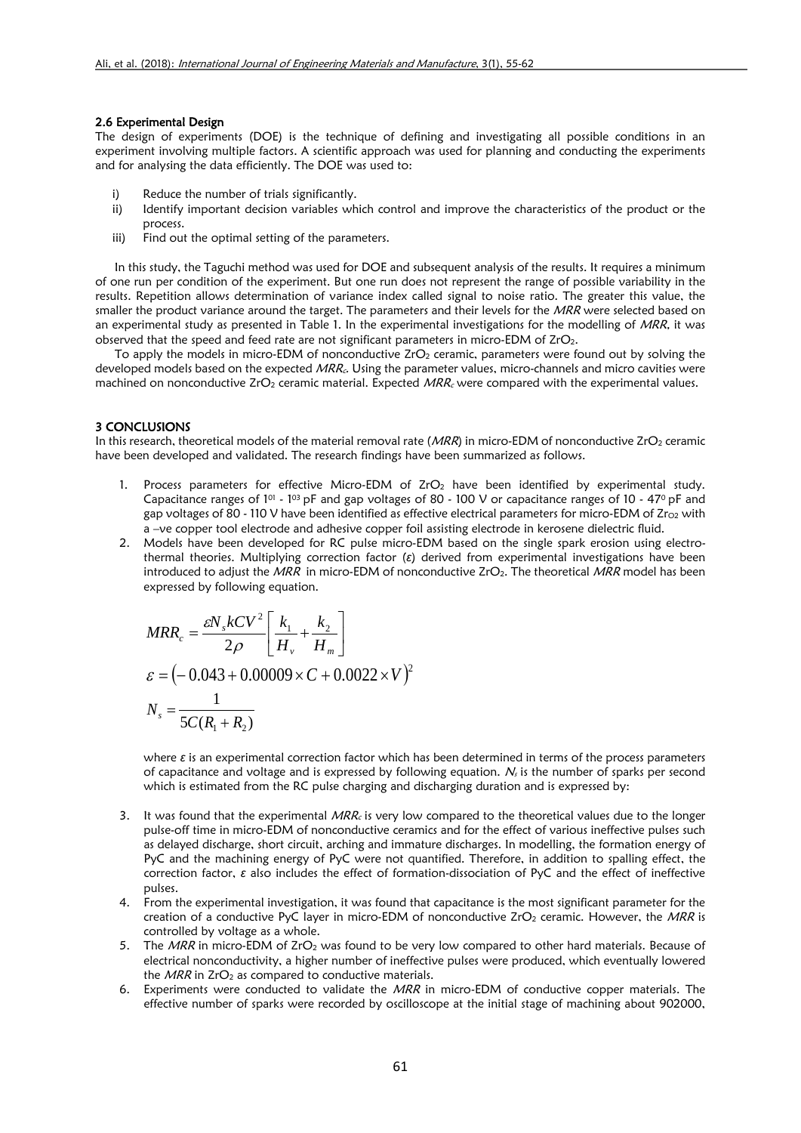## 2.6 Experimental Design

The design of experiments (DOE) is the technique of defining and investigating all possible conditions in an experiment involving multiple factors. A scientific approach was used for planning and conducting the experiments and for analysing the data efficiently. The DOE was used to:

- i) Reduce the number of trials significantly.
- ii) Identify important decision variables which control and improve the characteristics of the product or the process.
- iii) Find out the optimal setting of the parameters.

In this study, the Taguchi method was used for DOE and subsequent analysis of the results. It requires a minimum of one run per condition of the experiment. But one run does not represent the range of possible variability in the results. Repetition allows determination of variance index called signal to noise ratio. The greater this value, the smaller the product variance around the target. The parameters and their levels for the MRR were selected based on an experimental study as presented in Table 1. In the experimental investigations for the modelling of MRR, it was observed that the speed and feed rate are not significant parameters in micro-EDM of ZrO<sub>2</sub>.

To apply the models in micro-EDM of nonconductive  $ZrO<sub>2</sub>$  ceramic, parameters were found out by solving the developed models based on the expected MRR<sub>c</sub>. Using the parameter values, micro-channels and micro cavities were machined on nonconductive ZrO<sub>2</sub> ceramic material. Expected  $MRR_c$  were compared with the experimental values.

## 3 CONCLUSIONS

In this research, theoretical models of the material removal rate ( $MRR$ ) in micro-EDM of nonconductive ZrO<sub>2</sub> ceramic have been developed and validated. The research findings have been summarized as follows.

- 1. Process parameters for effective Micro-EDM of ZrO<sub>2</sub> have been identified by experimental study. Capacitance ranges of  $1^{01}$  -  $1^{03}$  pF and gap voltages of 80 - 100 V or capacitance ranges of 10 - 47<sup>0</sup> pF and gap voltages of 80 - 110 V have been identified as effective electrical parameters for micro-EDM of Zro2 with a –ve copper tool electrode and adhesive copper foil assisting electrode in kerosene dielectric fluid.
- 2. Models have been developed for RC pulse micro-EDM based on the single spark erosion using electrothermal theories. Multiplying correction factor (*ε*) derived from experimental investigations have been introduced to adjust the  $MRR$  in micro-EDM of nonconductive ZrO<sub>2</sub>. The theoretical  $MRR$  model has been expressed by following equation.

$$
MRR_c = \frac{\varepsilon N_s kCV^2}{2\rho} \left[ \frac{k_1}{H_v} + \frac{k_2}{H_m} \right]
$$
  

$$
\varepsilon = (-0.043 + 0.00009 \times C + 0.0022 \times V)^2
$$
  

$$
N_s = \frac{1}{5C(R_1 + R_2)}
$$

where *ε* is an experimental correction factor which has been determined in terms of the process parameters of capacitance and voltage and is expressed by following equation.  $N_s$  is the number of sparks per second which is estimated from the RC pulse charging and discharging duration and is expressed by:

- 3. It was found that the experimental  $MRR_c$  is very low compared to the theoretical values due to the longer pulse-off time in micro-EDM of nonconductive ceramics and for the effect of various ineffective pulses such as delayed discharge, short circuit, arching and immature discharges. In modelling, the formation energy of PyC and the machining energy of PyC were not quantified. Therefore, in addition to spalling effect, the correction factor, *ε* also includes the effect of formation-dissociation of PyC and the effect of ineffective pulses.
- 4. From the experimental investigation, it was found that capacitance is the most significant parameter for the creation of a conductive PyC layer in micro-EDM of nonconductive  $ZrO<sub>2</sub>$  ceramic. However, the MRR is controlled by voltage as a whole.
- 5. The MRR in micro-EDM of ZrO<sub>2</sub> was found to be very low compared to other hard materials. Because of electrical nonconductivity, a higher number of ineffective pulses were produced, which eventually lowered the  $MRR$  in  $ZrO<sub>2</sub>$  as compared to conductive materials.
- 6. Experiments were conducted to validate the MRR in micro-EDM of conductive copper materials. The effective number of sparks were recorded by oscilloscope at the initial stage of machining about 902000,